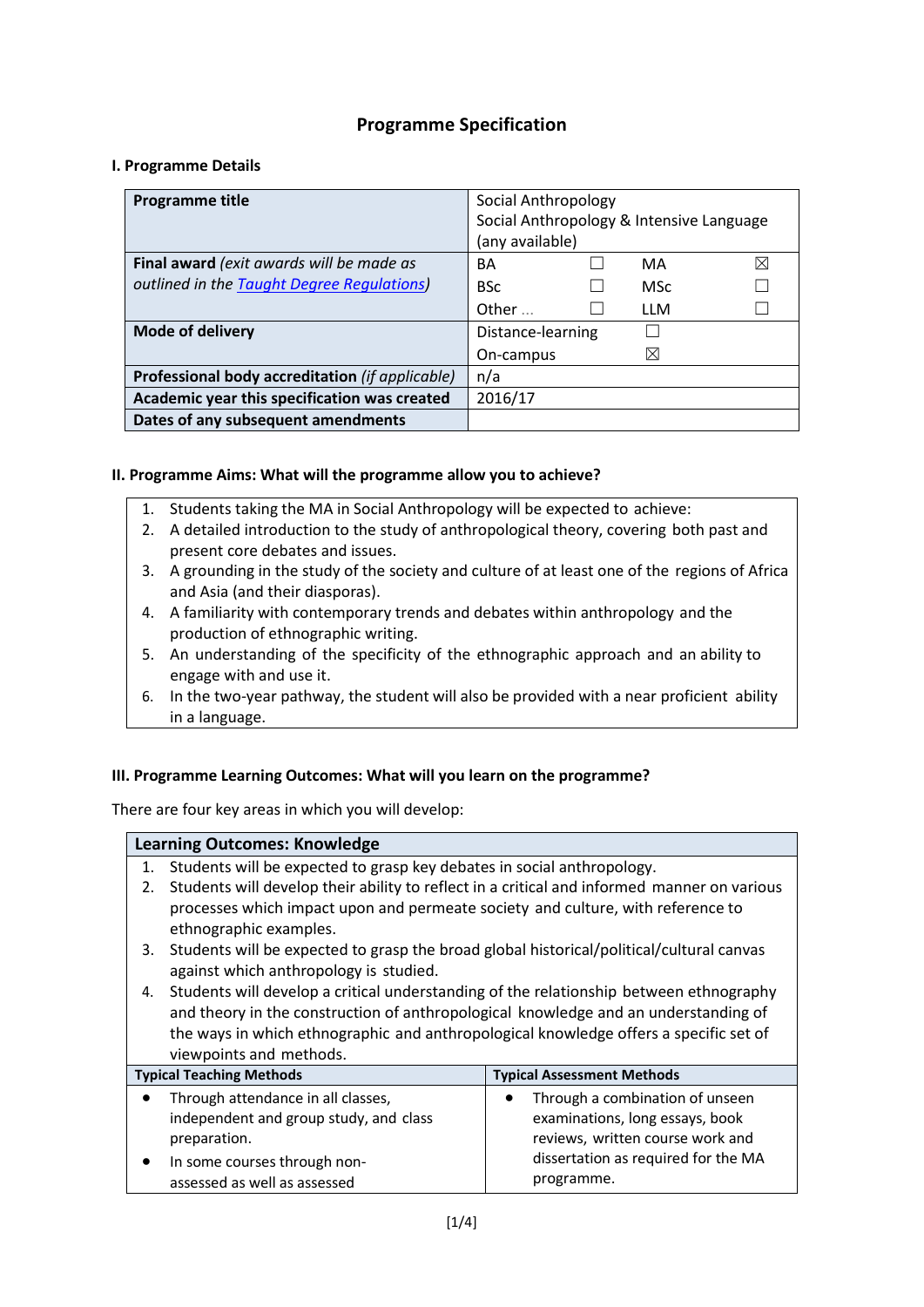## **Programme Specification**

#### **I. Programme Details**

| <b>Programme title</b>                          | Social Anthropology                      |
|-------------------------------------------------|------------------------------------------|
|                                                 | Social Anthropology & Intensive Language |
|                                                 | (any available)                          |
| Final award (exit awards will be made as        | ⊠<br>BA<br>MA                            |
| outlined in the Taught Degree Regulations)      | <b>BSc</b><br><b>MSc</b>                 |
|                                                 | Other<br>11 M                            |
| Mode of delivery                                | Distance-learning                        |
|                                                 | ⊠<br>On-campus                           |
| Professional body accreditation (if applicable) | n/a                                      |
| Academic year this specification was created    | 2016/17                                  |
| Dates of any subsequent amendments              |                                          |

#### **II. Programme Aims: What will the programme allow you to achieve?**

- 1. Students taking the MA in Social Anthropology will be expected to achieve:
- 2. A detailed introduction to the study of anthropological theory, covering both past and present core debates and issues.
- 3. A grounding in the study of the society and culture of at least one of the regions of Africa and Asia (and their diasporas).
- 4. A familiarity with contemporary trends and debates within anthropology and the production of ethnographic writing.
- 5. An understanding of the specificity of the ethnographic approach and an ability to engage with and use it.
- 6. In the two-year pathway, the student will also be provided with a near proficient ability in a language.

### **III. Programme Learning Outcomes: What will you learn on the programme?**

There are four key areas in which you will develop:

# **Learning Outcomes: Knowledge** 1. Students will be expected to grasp key debates in social anthropology. 2. Students will develop their ability to reflect in a critical and informed manner on various processes which impact upon and permeate society and culture, with reference to ethnographic examples. 3. Students will be expected to grasp the broad global historical/political/cultural canvas

against which anthropology is studied. 4. Students will develop a critical understanding of the relationship between ethnography and theory in the construction of anthropological knowledge and an understanding of

the ways in which ethnographic and anthropological knowledge offers a specific set of viewpoints and methods.

| <b>Typical Teaching Methods</b>        | <b>Typical Assessment Methods</b>   |
|----------------------------------------|-------------------------------------|
| Through attendance in all classes,     | Through a combination of unseen     |
| independent and group study, and class | examinations, long essays, book     |
| preparation.                           | reviews, written course work and    |
| In some courses through non-           | dissertation as required for the MA |
| assessed as well as assessed           | programme.                          |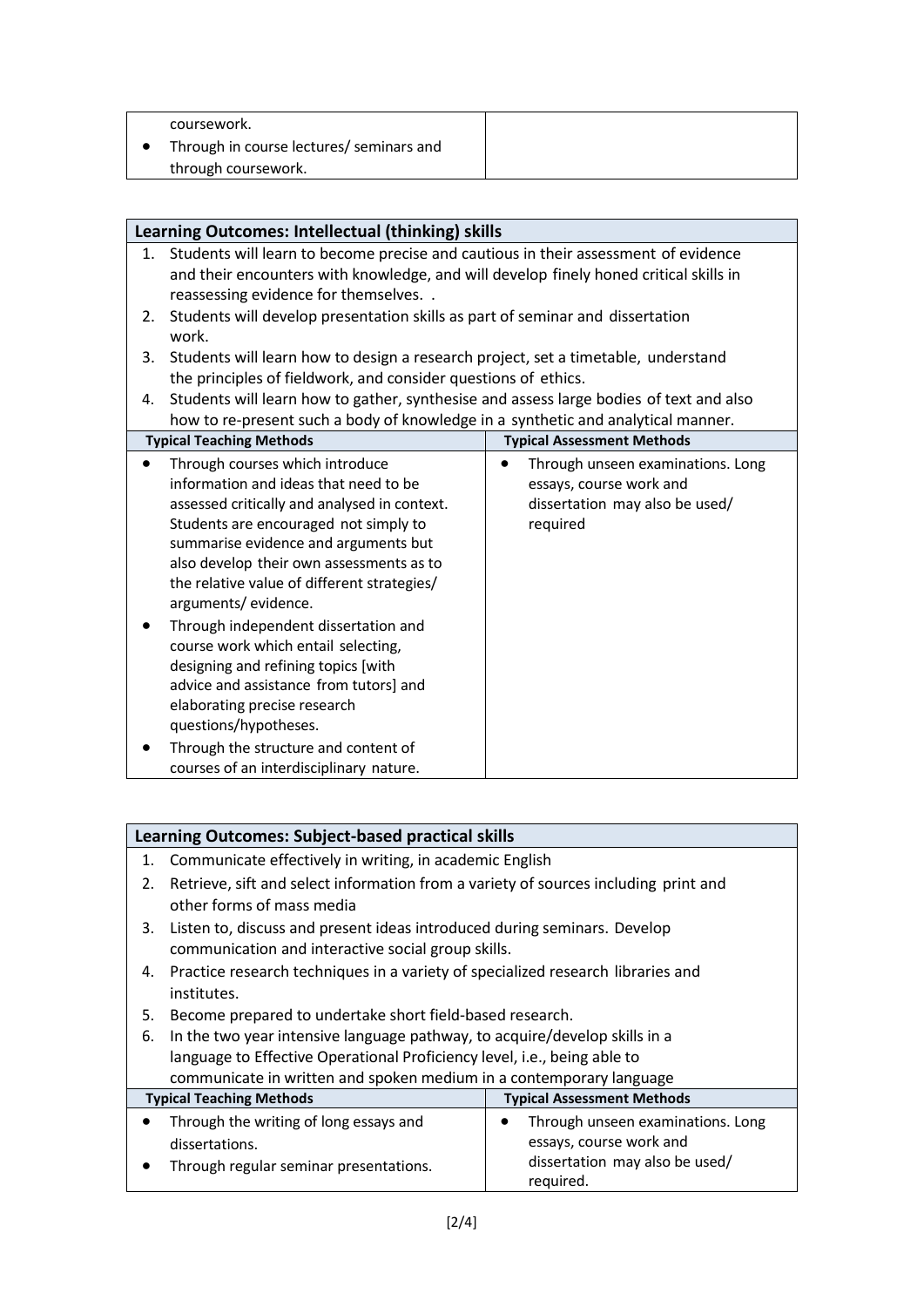| coursework.                              |  |
|------------------------------------------|--|
| Through in course lectures/ seminars and |  |
| through coursework.                      |  |

| Learning Outcomes: Intellectual (thinking) skills |                                                                                                                                                                                                                                                                                                                             |                                                                                                                         |
|---------------------------------------------------|-----------------------------------------------------------------------------------------------------------------------------------------------------------------------------------------------------------------------------------------------------------------------------------------------------------------------------|-------------------------------------------------------------------------------------------------------------------------|
| 1.                                                | Students will learn to become precise and cautious in their assessment of evidence<br>and their encounters with knowledge, and will develop finely honed critical skills in<br>reassessing evidence for themselves                                                                                                          |                                                                                                                         |
| 2.                                                | Students will develop presentation skills as part of seminar and dissertation<br>work.                                                                                                                                                                                                                                      |                                                                                                                         |
| 3.                                                | Students will learn how to design a research project, set a timetable, understand<br>the principles of fieldwork, and consider questions of ethics.                                                                                                                                                                         |                                                                                                                         |
| 4.                                                | Students will learn how to gather, synthesise and assess large bodies of text and also<br>how to re-present such a body of knowledge in a synthetic and analytical manner.                                                                                                                                                  |                                                                                                                         |
|                                                   | <b>Typical Teaching Methods</b>                                                                                                                                                                                                                                                                                             | <b>Typical Assessment Methods</b>                                                                                       |
| $\bullet$                                         | Through courses which introduce<br>information and ideas that need to be<br>assessed critically and analysed in context.<br>Students are encouraged not simply to<br>summarise evidence and arguments but<br>also develop their own assessments as to<br>the relative value of different strategies/<br>arguments/evidence. | Through unseen examinations. Long<br>$\bullet$<br>essays, course work and<br>dissertation may also be used/<br>required |
|                                                   | Through independent dissertation and<br>course work which entail selecting,<br>designing and refining topics [with<br>advice and assistance from tutors] and<br>elaborating precise research<br>questions/hypotheses.<br>Through the structure and content of<br>courses of an interdisciplinary nature.                    |                                                                                                                         |

| Learning Outcomes: Subject-based practical skills                   |                                                                                                                                |                                                                                                             |
|---------------------------------------------------------------------|--------------------------------------------------------------------------------------------------------------------------------|-------------------------------------------------------------------------------------------------------------|
| 1.                                                                  | Communicate effectively in writing, in academic English                                                                        |                                                                                                             |
| 2.                                                                  | Retrieve, sift and select information from a variety of sources including print and<br>other forms of mass media               |                                                                                                             |
| 3.                                                                  | Listen to, discuss and present ideas introduced during seminars. Develop<br>communication and interactive social group skills. |                                                                                                             |
| 4.                                                                  | Practice research techniques in a variety of specialized research libraries and<br>institutes.                                 |                                                                                                             |
| 5.                                                                  | Become prepared to undertake short field-based research.                                                                       |                                                                                                             |
| 6.                                                                  | In the two year intensive language pathway, to acquire/develop skills in a                                                     |                                                                                                             |
|                                                                     | language to Effective Operational Proficiency level, i.e., being able to                                                       |                                                                                                             |
| communicate in written and spoken medium in a contemporary language |                                                                                                                                |                                                                                                             |
|                                                                     | <b>Typical Teaching Methods</b>                                                                                                | <b>Typical Assessment Methods</b>                                                                           |
|                                                                     | Through the writing of long essays and<br>dissertations.<br>Through regular seminar presentations.                             | Through unseen examinations. Long<br>essays, course work and<br>dissertation may also be used/<br>required. |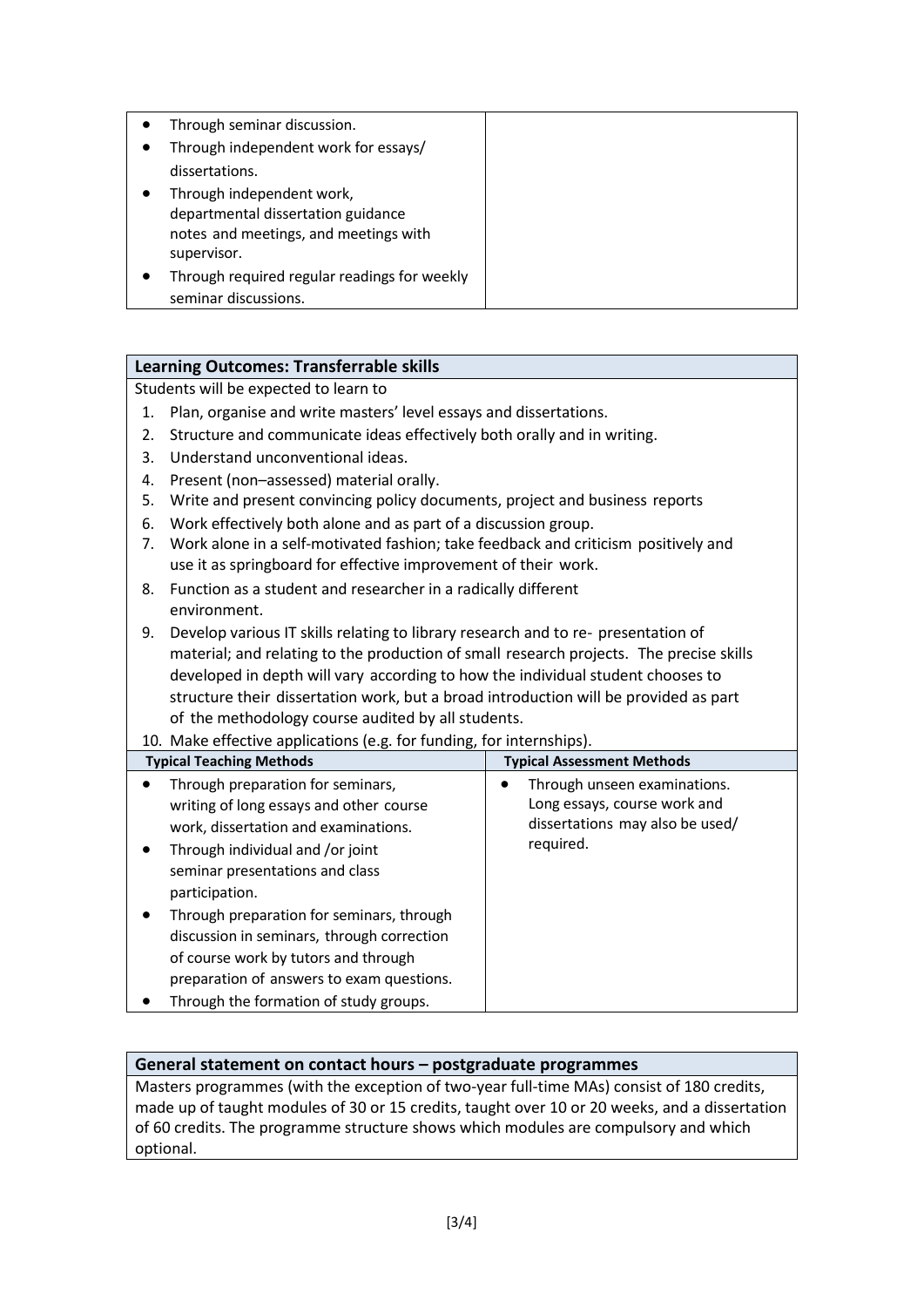| Through seminar discussion.                  |  |
|----------------------------------------------|--|
| Through independent work for essays/         |  |
| dissertations.                               |  |
| Through independent work,                    |  |
| departmental dissertation guidance           |  |
| notes and meetings, and meetings with        |  |
| supervisor.                                  |  |
| Through required regular readings for weekly |  |
| seminar discussions.                         |  |

## **Learning Outcomes: Transferrable skills**

Students will be expected to learn to

- 1. Plan, organise and write masters' level essays and dissertations.
- 2. Structure and communicate ideas effectively both orally and in writing.
- 3. Understand unconventional ideas.
- 4. Present (non–assessed) material orally.
- 5. Write and present convincing policy documents, project and business reports
- 6. Work effectively both alone and as part of a discussion group.
- 7. Work alone in a self-motivated fashion; take feedback and criticism positively and use it as springboard for effective improvement of their work.
- 8. Function as a student and researcher in a radically different environment.
- 9. Develop various IT skills relating to library research and to re- presentation of material; and relating to the production of small research projects. The precise skills developed in depth will vary according to how the individual student chooses to structure their dissertation work, but a broad introduction will be provided as part of the methodology course audited by all students.
- 10. Make effective applications (e.g. for funding, for internships).

| <b>Typical Teaching Methods</b>                                                                                                                                                                                                                                                                                                                                                                                                                      | <b>Typical Assessment Methods</b>                                                                            |
|------------------------------------------------------------------------------------------------------------------------------------------------------------------------------------------------------------------------------------------------------------------------------------------------------------------------------------------------------------------------------------------------------------------------------------------------------|--------------------------------------------------------------------------------------------------------------|
| Through preparation for seminars,<br>$\bullet$<br>writing of long essays and other course<br>work, dissertation and examinations.<br>Through individual and /or joint<br>seminar presentations and class<br>participation.<br>Through preparation for seminars, through<br>discussion in seminars, through correction<br>of course work by tutors and through<br>preparation of answers to exam questions.<br>Through the formation of study groups. | Through unseen examinations.<br>Long essays, course work and<br>dissertations may also be used/<br>required. |

### **General statement on contact hours – postgraduate programmes**

Masters programmes (with the exception of two-year full-time MAs) consist of 180 credits, made up of taught modules of 30 or 15 credits, taught over 10 or 20 weeks, and a dissertation of 60 credits. The programme structure shows which modules are compulsory and which optional.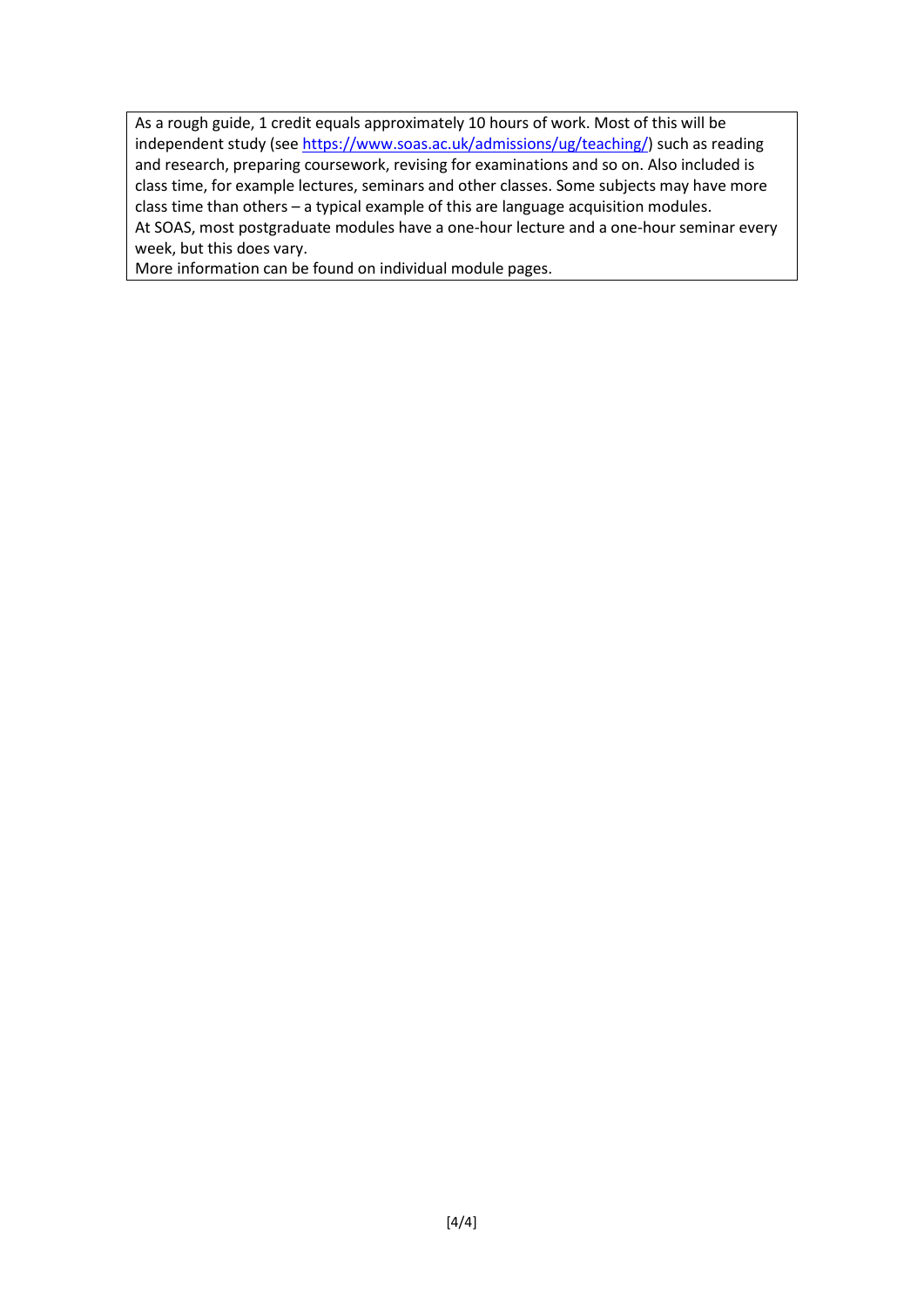As a rough guide, 1 credit equals approximately 10 hours of work. Most of this will be independent study (see [https://www.soas.ac.uk/admissions/ug/teaching/\)](https://www.soas.ac.uk/admissions/ug/teaching/) such as reading and research, preparing coursework, revising for examinations and so on. Also included is class time, for example lectures, seminars and other classes. Some subjects may have more class time than others – a typical example of this are language acquisition modules. At SOAS, most postgraduate modules have a one-hour lecture and a one-hour seminar every week, but this does vary.

More information can be found on individual module pages.